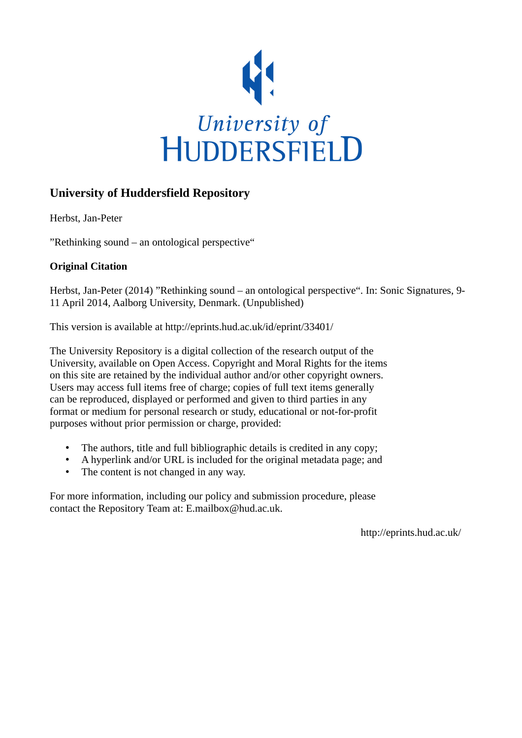

#### **University of Huddersfield Repository**

Herbst, Jan-Peter

"Rethinking sound – an ontological perspective"

#### **Original Citation**

Herbst, Jan-Peter (2014) "Rethinking sound – an ontological perspective". In: Sonic Signatures, 9- 11 April 2014, Aalborg University, Denmark. (Unpublished)

This version is available at http://eprints.hud.ac.uk/id/eprint/33401/

The University Repository is a digital collection of the research output of the University, available on Open Access. Copyright and Moral Rights for the items on this site are retained by the individual author and/or other copyright owners. Users may access full items free of charge; copies of full text items generally can be reproduced, displayed or performed and given to third parties in any format or medium for personal research or study, educational or not-for-profit purposes without prior permission or charge, provided:

- The authors, title and full bibliographic details is credited in any copy;
- A hyperlink and/or URL is included for the original metadata page; and
- The content is not changed in any way.

For more information, including our policy and submission procedure, please contact the Repository Team at: E.mailbox@hud.ac.uk.

http://eprints.hud.ac.uk/